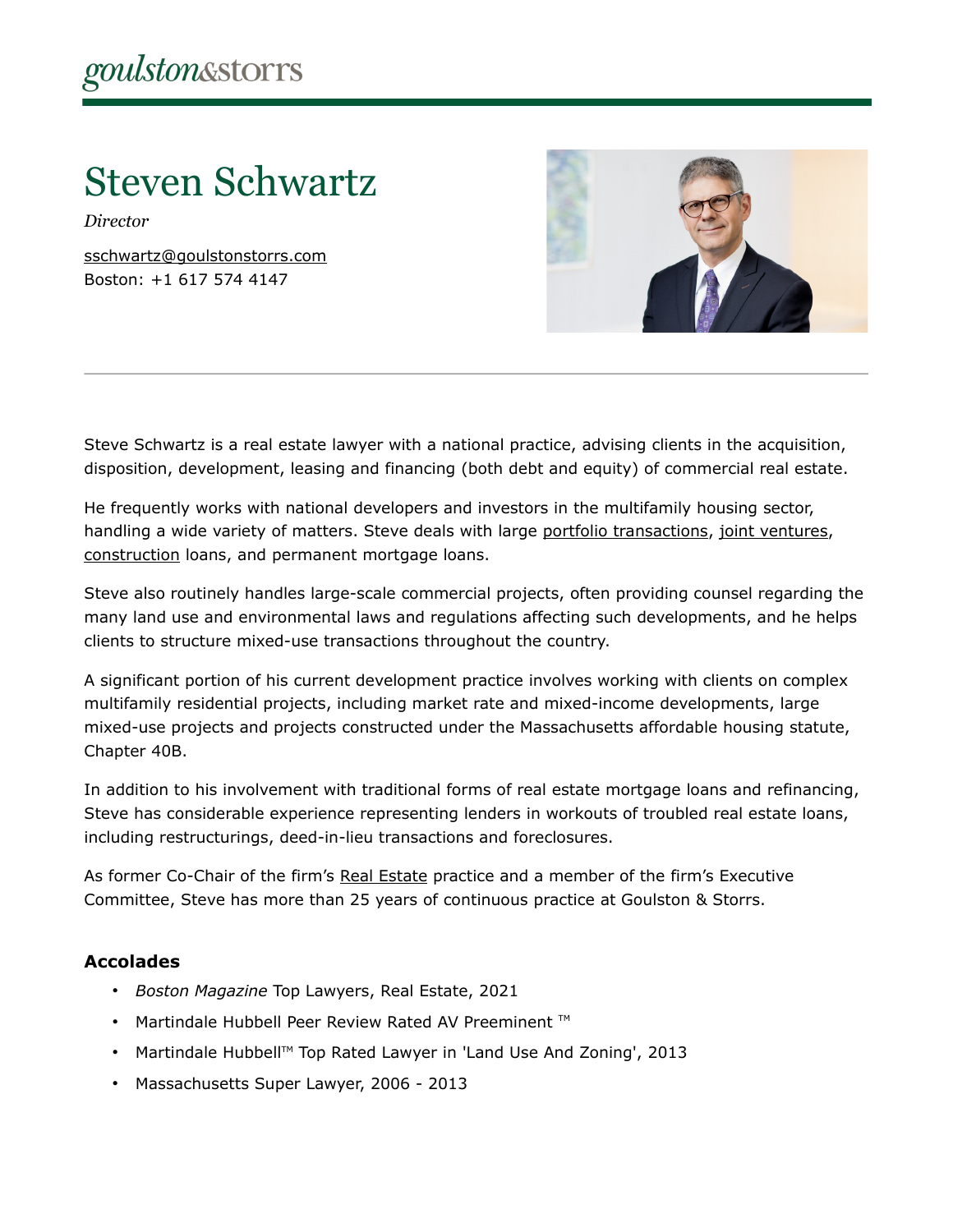# Steven Schwartz

*Director*

[sschwartz@goulstonstorrs.com](mailto:sschwartz@goulstonstorrs.com) Boston: +1 617 574 4147



Steve Schwartz is a real estate lawyer with a national practice, advising clients in the acquisition, disposition, development, leasing and financing (both debt and equity) of commercial real estate.

He frequently works with national developers and investors in the multifamily housing sector, handling a wide variety of matters. Steve deals with large [portfolio transactions,](https://www.goulstonstorrs.com/loan-portfolio-services/) [joint ventures,](https://www.goulstonstorrs.com/joint-ventures/) [construction](https://www.goulstonstorrs.com/construction/) loans, and permanent mortgage loans.

Steve also routinely handles large-scale commercial projects, often providing counsel regarding the many land use and environmental laws and regulations affecting such developments, and he helps clients to structure mixed-use transactions throughout the country.

A significant portion of his current development practice involves working with clients on complex multifamily residential projects, including market rate and mixed-income developments, large mixed-use projects and projects constructed under the Massachusetts affordable housing statute, Chapter 40B.

In addition to his involvement with traditional forms of real estate mortgage loans and refinancing, Steve has considerable experience representing lenders in workouts of troubled real estate loans, including restructurings, deed-in-lieu transactions and foreclosures.

As former Co-Chair of the firm's [Real Estate](https://www.goulstonstorrs.com/real-estate/) practice and a member of the firm's Executive Committee, Steve has more than 25 years of continuous practice at Goulston & Storrs.

#### **Accolades**

- *Boston Magazine* Top Lawyers, Real Estate, 2021
- Martindale Hubbell Peer Review Rated AV Preeminent ™
- Martindale Hubbell™ Top Rated Lawyer in 'Land Use And Zoning', 2013
- Massachusetts Super Lawyer, 2006 2013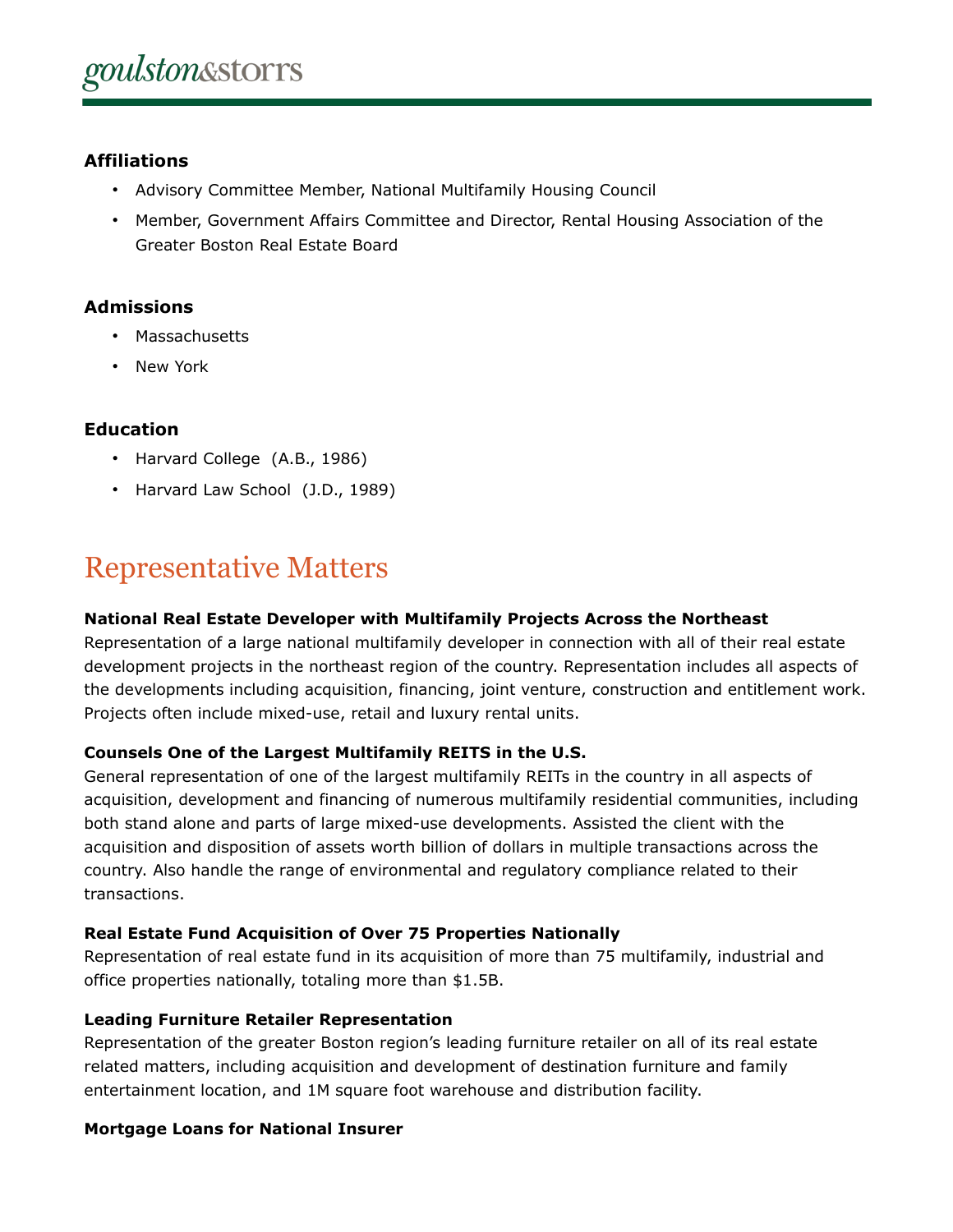### **Affiliations**

- Advisory Committee Member, National Multifamily Housing Council
- Member, Government Affairs Committee and Director, Rental Housing Association of the Greater Boston Real Estate Board

#### **Admissions**

- Massachusetts
- New York

### **Education**

- Harvard College (A.B., 1986)
- Harvard Law School (J.D., 1989)

## Representative Matters

#### **National Real Estate Developer with Multifamily Projects Across the Northeast**

Representation of a large national multifamily developer in connection with all of their real estate development projects in the northeast region of the country. Representation includes all aspects of the developments including acquisition, financing, joint venture, construction and entitlement work. Projects often include mixed-use, retail and luxury rental units.

#### **Counsels One of the Largest Multifamily REITS in the U.S.**

General representation of one of the largest multifamily REITs in the country in all aspects of acquisition, development and financing of numerous multifamily residential communities, including both stand alone and parts of large mixed-use developments. Assisted the client with the acquisition and disposition of assets worth billion of dollars in multiple transactions across the country. Also handle the range of environmental and regulatory compliance related to their transactions.

#### **Real Estate Fund Acquisition of Over 75 Properties Nationally**

Representation of real estate fund in its acquisition of more than 75 multifamily, industrial and office properties nationally, totaling more than \$1.5B.

#### **Leading Furniture Retailer Representation**

Representation of the greater Boston region's leading furniture retailer on all of its real estate related matters, including acquisition and development of destination furniture and family entertainment location, and 1M square foot warehouse and distribution facility.

#### **Mortgage Loans for National Insurer**